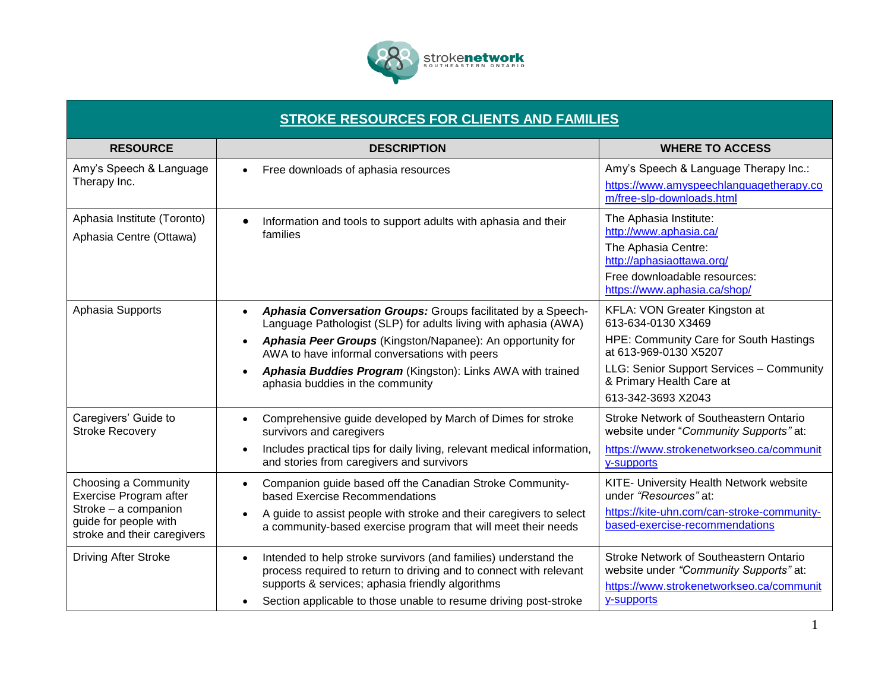

## **STROKE RESOURCES FOR CLIENTS AND FAMILIES**

| <b>RESOURCE</b>                                                                                                                | <b>DESCRIPTION</b>                                                                                                                                                                                                                                                                                                                                                                      | <b>WHERE TO ACCESS</b>                                                                                                                                                                                               |
|--------------------------------------------------------------------------------------------------------------------------------|-----------------------------------------------------------------------------------------------------------------------------------------------------------------------------------------------------------------------------------------------------------------------------------------------------------------------------------------------------------------------------------------|----------------------------------------------------------------------------------------------------------------------------------------------------------------------------------------------------------------------|
| Amy's Speech & Language<br>Therapy Inc.                                                                                        | Free downloads of aphasia resources<br>$\bullet$                                                                                                                                                                                                                                                                                                                                        | Amy's Speech & Language Therapy Inc.:<br>https://www.amyspeechlanguagetherapy.co<br>m/free-slp-downloads.html                                                                                                        |
| Aphasia Institute (Toronto)<br>Aphasia Centre (Ottawa)                                                                         | Information and tools to support adults with aphasia and their<br>$\bullet$<br>families                                                                                                                                                                                                                                                                                                 | The Aphasia Institute:<br>http://www.aphasia.ca/<br>The Aphasia Centre:<br>http://aphasiaottawa.org/<br>Free downloadable resources:<br>https://www.aphasia.ca/shop/                                                 |
| Aphasia Supports                                                                                                               | Aphasia Conversation Groups: Groups facilitated by a Speech-<br>$\bullet$<br>Language Pathologist (SLP) for adults living with aphasia (AWA)<br>Aphasia Peer Groups (Kingston/Napanee): An opportunity for<br>$\bullet$<br>AWA to have informal conversations with peers<br>Aphasia Buddies Program (Kingston): Links AWA with trained<br>$\bullet$<br>aphasia buddies in the community | KFLA: VON Greater Kingston at<br>613-634-0130 X3469<br>HPE: Community Care for South Hastings<br>at 613-969-0130 X5207<br>LLG: Senior Support Services - Community<br>& Primary Health Care at<br>613-342-3693 X2043 |
| Caregivers' Guide to<br><b>Stroke Recovery</b>                                                                                 | Comprehensive guide developed by March of Dimes for stroke<br>$\bullet$<br>survivors and caregivers<br>Includes practical tips for daily living, relevant medical information,<br>$\bullet$<br>and stories from caregivers and survivors                                                                                                                                                | Stroke Network of Southeastern Ontario<br>website under "Community Supports" at:<br>https://www.strokenetworkseo.ca/communit<br>y-supports                                                                           |
| Choosing a Community<br>Exercise Program after<br>Stroke - a companion<br>guide for people with<br>stroke and their caregivers | Companion guide based off the Canadian Stroke Community-<br>$\bullet$<br>based Exercise Recommendations<br>A guide to assist people with stroke and their caregivers to select<br>$\bullet$<br>a community-based exercise program that will meet their needs                                                                                                                            | KITE- University Health Network website<br>under "Resources" at:<br>https://kite-uhn.com/can-stroke-community-<br>based-exercise-recommendations                                                                     |
| <b>Driving After Stroke</b>                                                                                                    | Intended to help stroke survivors (and families) understand the<br>$\bullet$<br>process required to return to driving and to connect with relevant<br>supports & services; aphasia friendly algorithms<br>Section applicable to those unable to resume driving post-stroke<br>$\bullet$                                                                                                 | Stroke Network of Southeastern Ontario<br>website under "Community Supports" at:<br>https://www.strokenetworkseo.ca/communit<br>y-supports                                                                           |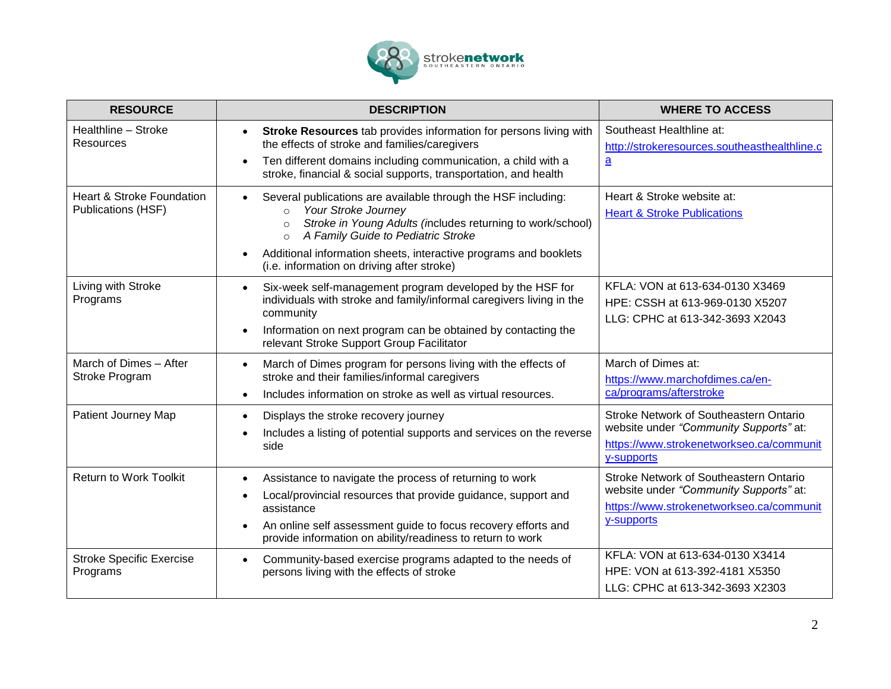

| <b>RESOURCE</b>                                                   | <b>DESCRIPTION</b>                                                                                                                                                                                                                                                                                                                                       | <b>WHERE TO ACCESS</b>                                                                                                                     |
|-------------------------------------------------------------------|----------------------------------------------------------------------------------------------------------------------------------------------------------------------------------------------------------------------------------------------------------------------------------------------------------------------------------------------------------|--------------------------------------------------------------------------------------------------------------------------------------------|
| Healthline - Stroke<br>Resources                                  | Stroke Resources tab provides information for persons living with<br>the effects of stroke and families/caregivers<br>Ten different domains including communication, a child with a<br>$\bullet$<br>stroke, financial & social supports, transportation, and health                                                                                      | Southeast Healthline at:<br>http://strokeresources.southeasthealthline.c<br>$\underline{a}$                                                |
| <b>Heart &amp; Stroke Foundation</b><br><b>Publications (HSF)</b> | Several publications are available through the HSF including:<br>$\bullet$<br>Your Stroke Journey<br>$\circ$<br>Stroke in Young Adults (includes returning to work/school)<br>$\circ$<br>A Family Guide to Pediatric Stroke<br>$\circ$<br>Additional information sheets, interactive programs and booklets<br>(i.e. information on driving after stroke) | Heart & Stroke website at:<br><b>Heart &amp; Stroke Publications</b>                                                                       |
| Living with Stroke<br>Programs                                    | Six-week self-management program developed by the HSF for<br>$\bullet$<br>individuals with stroke and family/informal caregivers living in the<br>community<br>Information on next program can be obtained by contacting the<br>$\bullet$<br>relevant Stroke Support Group Facilitator                                                                   | KFLA: VON at 613-634-0130 X3469<br>HPE: CSSH at 613-969-0130 X5207<br>LLG: CPHC at 613-342-3693 X2043                                      |
| March of Dimes - After<br>Stroke Program                          | March of Dimes program for persons living with the effects of<br>$\bullet$<br>stroke and their families/informal caregivers<br>Includes information on stroke as well as virtual resources.<br>$\bullet$                                                                                                                                                 | March of Dimes at:<br>https://www.marchofdimes.ca/en-<br>ca/programs/afterstroke                                                           |
| Patient Journey Map                                               | Displays the stroke recovery journey<br>$\bullet$<br>Includes a listing of potential supports and services on the reverse<br>side                                                                                                                                                                                                                        | Stroke Network of Southeastern Ontario<br>website under "Community Supports" at:<br>https://www.strokenetworkseo.ca/communit<br>y-supports |
| <b>Return to Work Toolkit</b>                                     | Assistance to navigate the process of returning to work<br>$\bullet$<br>Local/provincial resources that provide guidance, support and<br>$\bullet$<br>assistance<br>An online self assessment guide to focus recovery efforts and<br>$\bullet$<br>provide information on ability/readiness to return to work                                             | Stroke Network of Southeastern Ontario<br>website under "Community Supports" at:<br>https://www.strokenetworkseo.ca/communit<br>y-supports |
| <b>Stroke Specific Exercise</b><br>Programs                       | Community-based exercise programs adapted to the needs of<br>$\bullet$<br>persons living with the effects of stroke                                                                                                                                                                                                                                      | KFLA: VON at 613-634-0130 X3414<br>HPE: VON at 613-392-4181 X5350<br>LLG: CPHC at 613-342-3693 X2303                                       |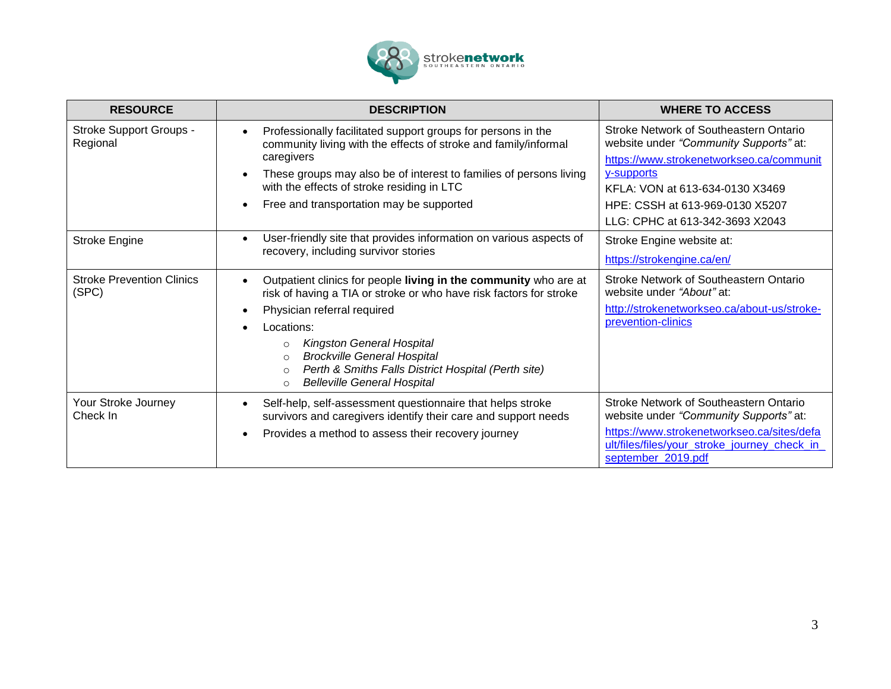

| <b>RESOURCE</b>                            | <b>DESCRIPTION</b>                                                                                                                                                                                                                                                                                                                                                                                                                            | <b>WHERE TO ACCESS</b>                                                                                                                                                                                                                              |
|--------------------------------------------|-----------------------------------------------------------------------------------------------------------------------------------------------------------------------------------------------------------------------------------------------------------------------------------------------------------------------------------------------------------------------------------------------------------------------------------------------|-----------------------------------------------------------------------------------------------------------------------------------------------------------------------------------------------------------------------------------------------------|
| <b>Stroke Support Groups -</b><br>Regional | Professionally facilitated support groups for persons in the<br>$\bullet$<br>community living with the effects of stroke and family/informal<br>caregivers<br>These groups may also be of interest to families of persons living<br>$\bullet$<br>with the effects of stroke residing in LTC<br>Free and transportation may be supported<br>$\bullet$                                                                                          | Stroke Network of Southeastern Ontario<br>website under "Community Supports" at:<br>https://www.strokenetworkseo.ca/communit<br>y-supports<br>KFLA: VON at 613-634-0130 X3469<br>HPE: CSSH at 613-969-0130 X5207<br>LLG: CPHC at 613-342-3693 X2043 |
| Stroke Engine                              | User-friendly site that provides information on various aspects of<br>$\bullet$<br>recovery, including survivor stories                                                                                                                                                                                                                                                                                                                       | Stroke Engine website at:<br>https://strokengine.ca/en/                                                                                                                                                                                             |
| <b>Stroke Prevention Clinics</b><br>(SPC)  | Outpatient clinics for people living in the community who are at<br>$\bullet$<br>risk of having a TIA or stroke or who have risk factors for stroke<br>Physician referral required<br>$\bullet$<br>Locations:<br>$\bullet$<br><b>Kingston General Hospital</b><br>$\circ$<br><b>Brockville General Hospital</b><br>$\circ$<br>Perth & Smiths Falls District Hospital (Perth site)<br>$\circ$<br><b>Belleville General Hospital</b><br>$\circ$ | <b>Stroke Network of Southeastern Ontario</b><br>website under "About" at:<br>http://strokenetworkseo.ca/about-us/stroke-<br>prevention-clinics                                                                                                     |
| Your Stroke Journey<br>Check In            | Self-help, self-assessment questionnaire that helps stroke<br>$\bullet$<br>survivors and caregivers identify their care and support needs<br>Provides a method to assess their recovery journey<br>$\bullet$                                                                                                                                                                                                                                  | Stroke Network of Southeastern Ontario<br>website under "Community Supports" at:<br>https://www.strokenetworkseo.ca/sites/defa<br>ult/files/files/your_stroke_journey_check_in<br>september 2019.pdf                                                |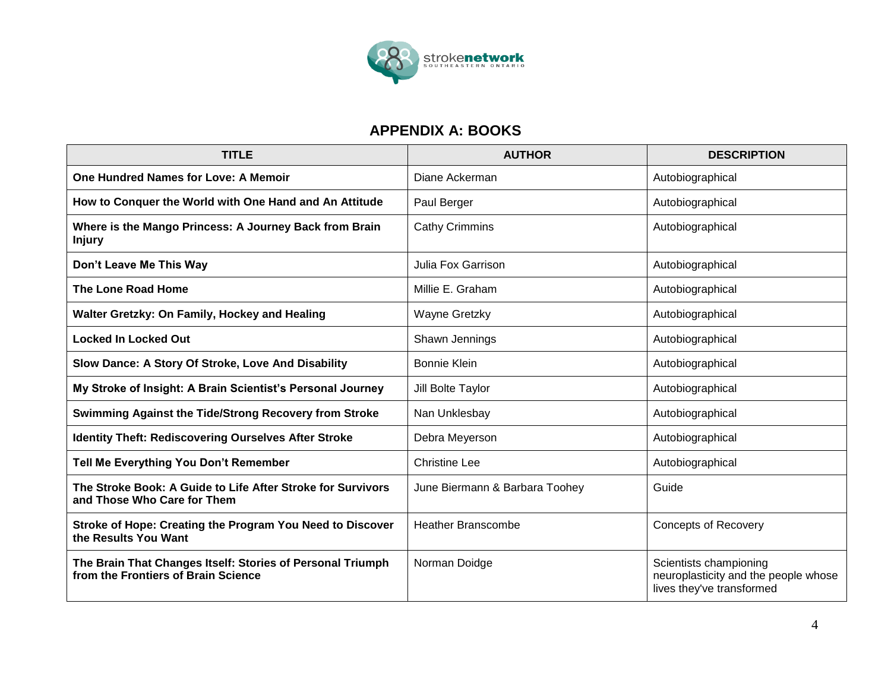

## **APPENDIX A: BOOKS**

| <b>TITLE</b>                                                                                      | <b>AUTHOR</b>                  | <b>DESCRIPTION</b>                                                                          |
|---------------------------------------------------------------------------------------------------|--------------------------------|---------------------------------------------------------------------------------------------|
| One Hundred Names for Love: A Memoir                                                              | Diane Ackerman                 | Autobiographical                                                                            |
| How to Conquer the World with One Hand and An Attitude                                            | Paul Berger                    | Autobiographical                                                                            |
| Where is the Mango Princess: A Journey Back from Brain<br><b>Injury</b>                           | <b>Cathy Crimmins</b>          | Autobiographical                                                                            |
| Don't Leave Me This Way                                                                           | <b>Julia Fox Garrison</b>      | Autobiographical                                                                            |
| <b>The Lone Road Home</b>                                                                         | Millie E. Graham               | Autobiographical                                                                            |
| Walter Gretzky: On Family, Hockey and Healing                                                     | Wayne Gretzky                  | Autobiographical                                                                            |
| <b>Locked In Locked Out</b>                                                                       | Shawn Jennings                 | Autobiographical                                                                            |
| Slow Dance: A Story Of Stroke, Love And Disability                                                | Bonnie Klein                   | Autobiographical                                                                            |
| My Stroke of Insight: A Brain Scientist's Personal Journey                                        | Jill Bolte Taylor              | Autobiographical                                                                            |
| Swimming Against the Tide/Strong Recovery from Stroke                                             | Nan Unklesbay                  | Autobiographical                                                                            |
| <b>Identity Theft: Rediscovering Ourselves After Stroke</b>                                       | Debra Meyerson                 | Autobiographical                                                                            |
| Tell Me Everything You Don't Remember                                                             | <b>Christine Lee</b>           | Autobiographical                                                                            |
| The Stroke Book: A Guide to Life After Stroke for Survivors<br>and Those Who Care for Them        | June Biermann & Barbara Toohey | Guide                                                                                       |
| Stroke of Hope: Creating the Program You Need to Discover<br>the Results You Want                 | <b>Heather Branscombe</b>      | <b>Concepts of Recovery</b>                                                                 |
| The Brain That Changes Itself: Stories of Personal Triumph<br>from the Frontiers of Brain Science | Norman Doidge                  | Scientists championing<br>neuroplasticity and the people whose<br>lives they've transformed |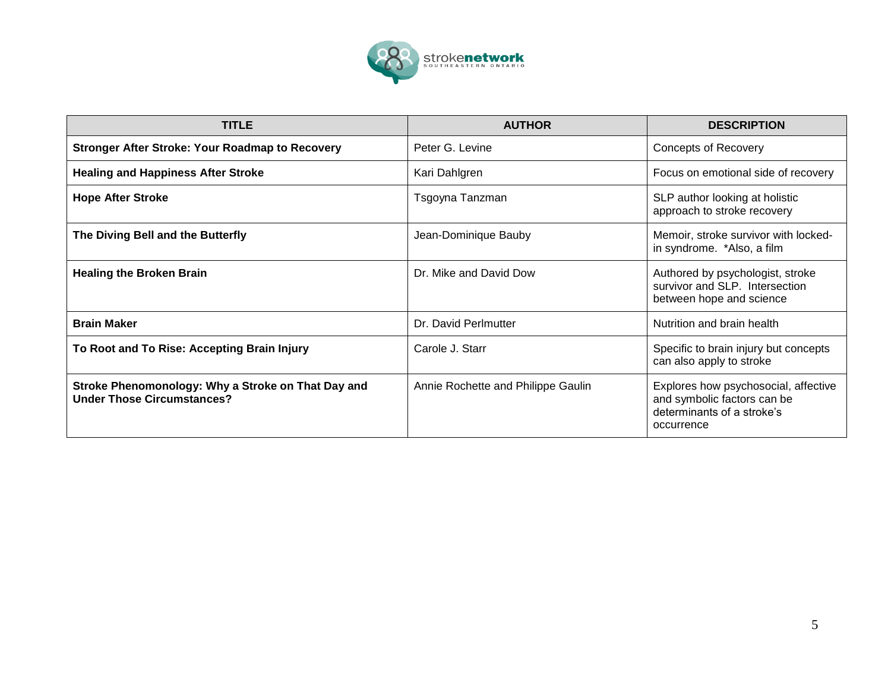

| <b>TITLE</b>                                                                            | <b>AUTHOR</b>                      | <b>DESCRIPTION</b>                                                                                              |
|-----------------------------------------------------------------------------------------|------------------------------------|-----------------------------------------------------------------------------------------------------------------|
| <b>Stronger After Stroke: Your Roadmap to Recovery</b>                                  | Peter G. Levine                    | <b>Concepts of Recovery</b>                                                                                     |
| <b>Healing and Happiness After Stroke</b>                                               | Kari Dahlgren                      | Focus on emotional side of recovery                                                                             |
| <b>Hope After Stroke</b>                                                                | Tsgoyna Tanzman                    | SLP author looking at holistic<br>approach to stroke recovery                                                   |
| The Diving Bell and the Butterfly                                                       | Jean-Dominique Bauby               | Memoir, stroke survivor with locked-<br>in syndrome. *Also, a film                                              |
| <b>Healing the Broken Brain</b>                                                         | Dr. Mike and David Dow             | Authored by psychologist, stroke<br>survivor and SLP. Intersection<br>between hope and science                  |
| <b>Brain Maker</b>                                                                      | Dr. David Perlmutter               | Nutrition and brain health                                                                                      |
| To Root and To Rise: Accepting Brain Injury                                             | Carole J. Starr                    | Specific to brain injury but concepts<br>can also apply to stroke                                               |
| Stroke Phenomonology: Why a Stroke on That Day and<br><b>Under Those Circumstances?</b> | Annie Rochette and Philippe Gaulin | Explores how psychosocial, affective<br>and symbolic factors can be<br>determinants of a stroke's<br>occurrence |